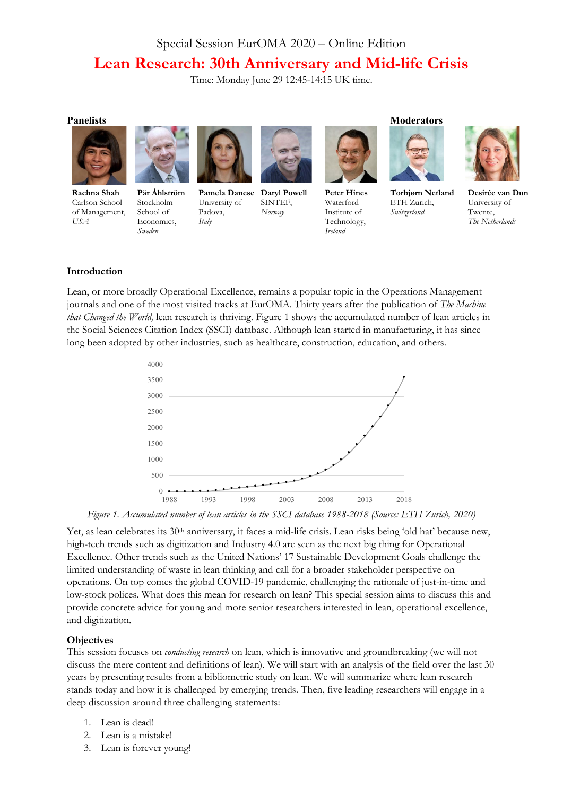# Special Session EurOMA 2020 – Online Edition **Lean Research: 30th Anniversary and Mid-life Crisis**

Time: Monday June 29 12:45-14:15 UK time.



**Rachna Shah** Carlson School of Management, *USA*



**Pär Åhlström** Stockholm School of Economics, *Sweden*



University of Padova, *Italy*



**Pamela Danese Daryl Powell** SINTEF, *Norway*



**Peter Hines** Waterford Institute of Technology, *Ireland*



**Torbjørn Netland** ETH Zurich, *Switzerland*



**Desirée van Dun** University of Twente, *The Netherlands*

#### **Introduction**

Lean, or more broadly Operational Excellence, remains a popular topic in the Operations Management journals and one of the most visited tracks at EurOMA. Thirty years after the publication of *The Machine that Changed the World,* lean research is thriving. Figure 1 shows the accumulated number of lean articles in the Social Sciences Citation Index (SSCI) database. Although lean started in manufacturing, it has since long been adopted by other industries, such as healthcare, construction, education, and others.



*Figure 1. Accumulated number of lean articles in the SSCI database 1988-2018 (Source: ETH Zurich, 2020)*

Yet, as lean celebrates its 30<sup>th</sup> anniversary, it faces a mid-life crisis. Lean risks being 'old hat' because new, high-tech trends such as digitization and Industry 4.0 are seen as the next big thing for Operational Excellence. Other trends such as the United Nations' 17 Sustainable Development Goals challenge the limited understanding of waste in lean thinking and call for a broader stakeholder perspective on operations. On top comes the global COVID-19 pandemic, challenging the rationale of just-in-time and low-stock polices. What does this mean for research on lean? This special session aims to discuss this and provide concrete advice for young and more senior researchers interested in lean, operational excellence, and digitization.

#### **Objectives**

This session focuses on *conducting research* on lean, which is innovative and groundbreaking (we will not discuss the mere content and definitions of lean). We will start with an analysis of the field over the last 30 years by presenting results from a bibliometric study on lean. We will summarize where lean research stands today and how it is challenged by emerging trends. Then, five leading researchers will engage in a deep discussion around three challenging statements:

- 1. Lean is dead!
- 2. Lean is a mistake!
- 3. Lean is forever young!